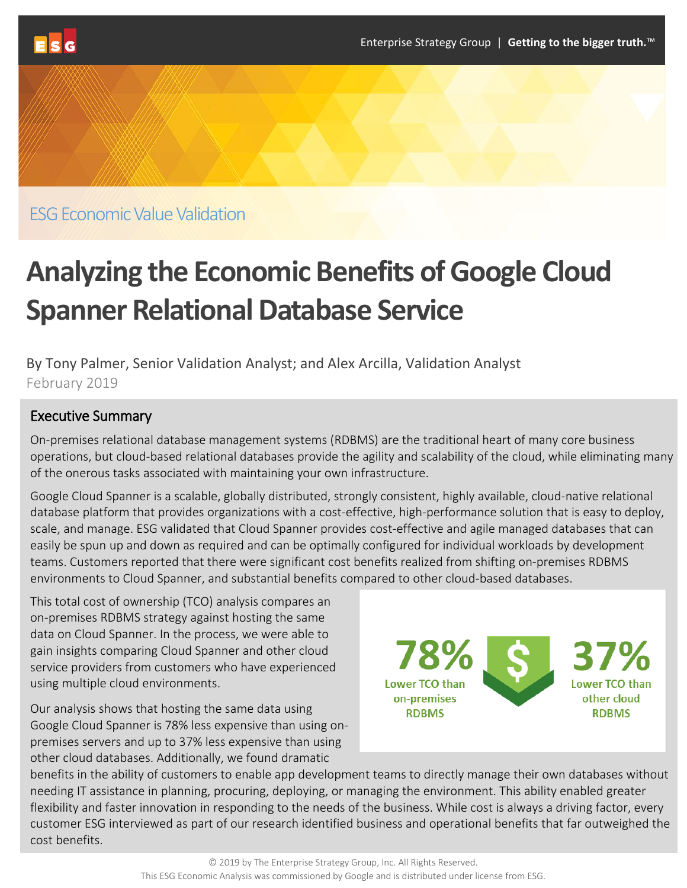

ESG Economic Value Validation

# **Analyzing the Economic Benefits of Google Cloud Spanner Relational Database Service**

By Tony Palmer, Senior Validation Analyst; and Alex Arcilla, Validation Analyst February 2019

### Executive Summary

On-premises relational database management systems (RDBMS) are the traditional heart of many core business operations, but cloud-based relational databases provide the agility and scalability of the cloud, while eliminating many of the onerous tasks associated with maintaining your own infrastructure.

Google Cloud Spanner is a scalable, globally distributed, strongly consistent, highly available, cloud-native relational database platform that provides organizations with a cost-effective, high-performance solution that is easy to deploy, scale, and manage. ESG validated that Cloud Spanner provides cost-effective and agile managed databases that can easily be spun up and down as required and can be optimally configured for individual workloads by development teams. Customers reported that there were significant cost benefits realized from shifting on-premises RDBMS environments to Cloud Spanner, and substantial benefits compared to other cloud-based databases.

This total cost of ownership (TCO) analysis compares an on-premises RDBMS strategy against hosting the same data on Cloud Spanner. In the process, we were able to gain insights comparing Cloud Spanner and other cloud service providers from customers who have experienced using multiple cloud environments.

Our analysis shows that hosting the same data using Google Cloud Spanner is 78% less expensive than using onpremises servers and up to 37% less expensive than using other cloud databases. Additionally, we found dramatic



benefits in the ability of customers to enable app development teams to directly manage their own databases without needing IT assistance in planning, procuring, deploying, or managing the environment. This ability enabled greater flexibility and faster innovation in responding to the needs of the business. While cost is always a driving factor, every customer ESG interviewed as part of our research identified business and operational benefits that far outweighed the cost benefits.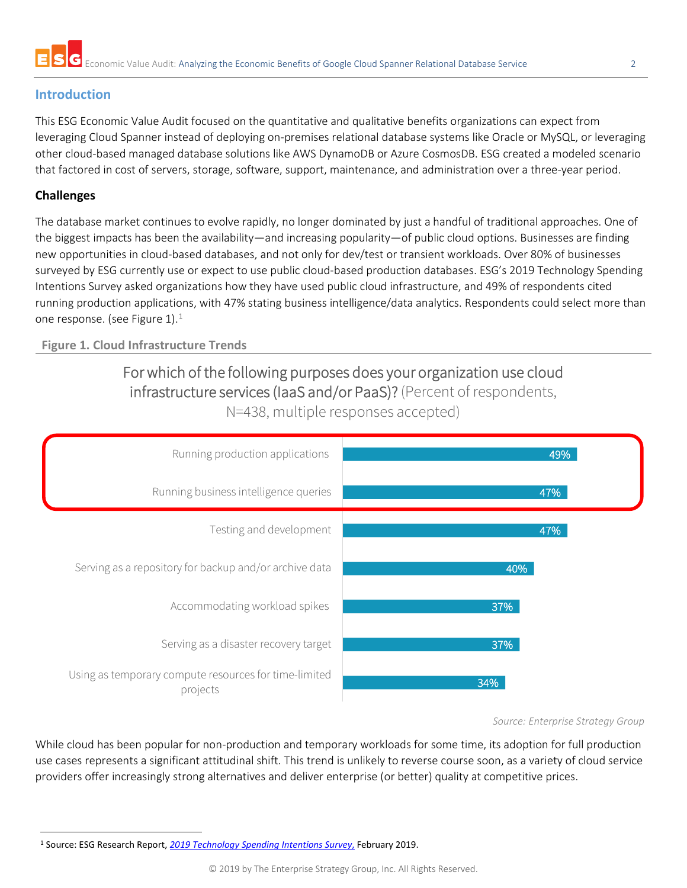## **Introduction**

This ESG Economic Value Audit focused on the quantitative and qualitative benefits organizations can expect from leveraging Cloud Spanner instead of deploying on-premises relational database systems like Oracle or MySQL, or leveraging other cloud-based managed database solutions like AWS DynamoDB or Azure CosmosDB. ESG created a modeled scenario that factored in cost of servers, storage, software, support, maintenance, and administration over a three-year period.

### **Challenges**

The database market continues to evolve rapidly, no longer dominated by just a handful of traditional approaches. One of the biggest impacts has been the availability—and increasing popularity—of public cloud options. Businesses are finding new opportunities in cloud-based databases, and not only for dev/test or transient workloads. Over 80% of businesses surveyed by ESG currently use or expect to use public cloud-based production databases. ESG's 2019 Technology Spending Intentions Survey asked organizations how they have used public cloud infrastructure, and 49% of respondents cited running production applications, with 47% stating business intelligence/data analytics. Respondents could select more than one response. (see Figure [1](#page-1-0)). $^1$ 

#### **Figure 1. Cloud Infrastructure Trends**

# For which of the following purposes does your organization use cloud infrastructure services (IaaS and/or PaaS)? (Percent of respondents, N=438, multiple responses accepted)



#### *Source: Enterprise Strategy Group*

While cloud has been popular for non-production and temporary workloads for some time, its adoption for full production use cases represents a significant attitudinal shift. This trend is unlikely to reverse course soon, as a variety of cloud service providers offer increasingly strong alternatives and deliver enterprise (or better) quality at competitive prices.

<span id="page-1-0"></span> <sup>1</sup> Source: ESG Research Report, *2019 Technology [Spending Intentions Survey](https://research.esg-global.com/reportaction/2019technologyspendingintentions/Toc)*, February 2019.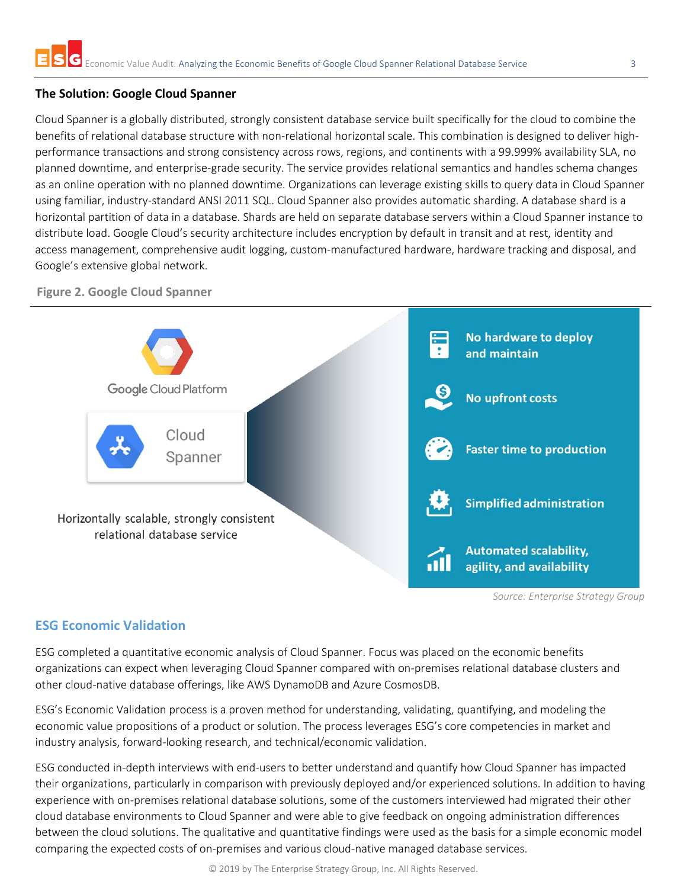#### **The Solution: Google Cloud Spanner**

Cloud Spanner is a globally distributed, strongly consistent database service built specifically for the cloud to combine the benefits of relational database structure with non-relational horizontal scale. This combination is designed to deliver highperformance transactions and strong consistency across rows, regions, and continents with a 99.999% availability SLA, no planned downtime, and enterprise-grade security. The service provides relational semantics and handles schema changes as an online operation with no planned downtime. Organizations can leverage existing skills to query data in Cloud Spanner using familiar, industry-standard ANSI 2011 SQL. Cloud Spanner also provides automatic sharding. A database shard is a horizontal partition of data in a database. Shards are held on separate database servers within a Cloud Spanner instance to distribute load. Google Cloud's security architecture includes encryption by default in transit and at rest, identity and access management, comprehensive audit logging, custom-manufactured hardware, hardware tracking and disposal, and Google's extensive global network.



**Figure 2. Google Cloud Spanner**

#### **ESG Economic Validation**

ESG completed a quantitative economic analysis of Cloud Spanner. Focus was placed on the economic benefits organizations can expect when leveraging Cloud Spanner compared with on-premises relational database clusters and other cloud-native database offerings, like AWS DynamoDB and Azure CosmosDB.

ESG's Economic Validation process is a proven method for understanding, validating, quantifying, and modeling the economic value propositions of a product or solution. The process leverages ESG's core competencies in market and industry analysis, forward-looking research, and technical/economic validation.

ESG conducted in-depth interviews with end-users to better understand and quantify how Cloud Spanner has impacted their organizations, particularly in comparison with previously deployed and/or experienced solutions. In addition to having experience with on-premises relational database solutions, some of the customers interviewed had migrated their other cloud database environments to Cloud Spanner and were able to give feedback on ongoing administration differences between the cloud solutions. The qualitative and quantitative findings were used as the basis for a simple economic model comparing the expected costs of on-premises and various cloud-native managed database services.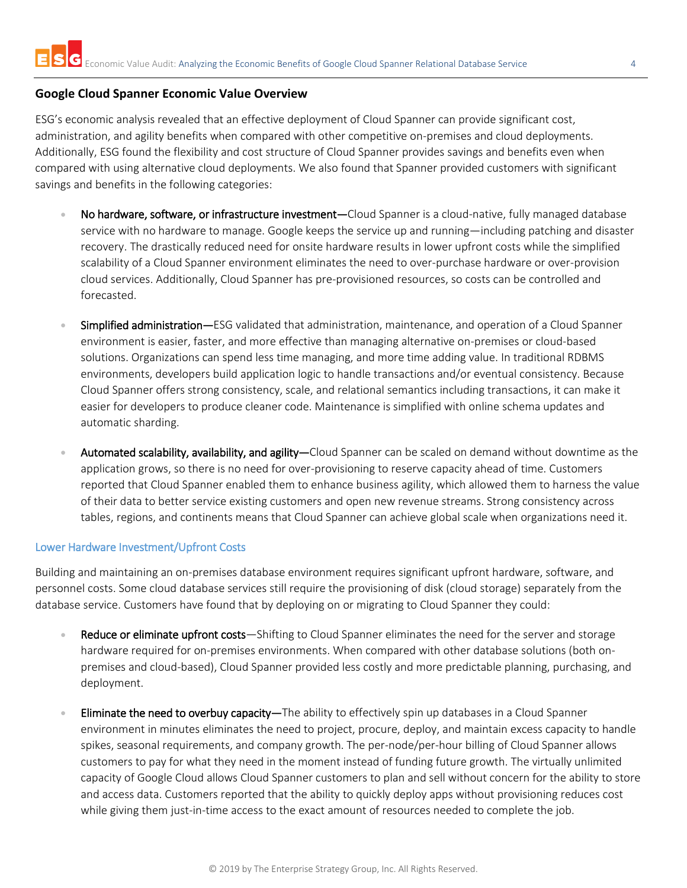#### **Google Cloud Spanner Economic Value Overview**

ESG's economic analysis revealed that an effective deployment of Cloud Spanner can provide significant cost, administration, and agility benefits when compared with other competitive on-premises and cloud deployments. Additionally, ESG found the flexibility and cost structure of Cloud Spanner provides savings and benefits even when compared with using alternative cloud deployments. We also found that Spanner provided customers with significant savings and benefits in the following categories:

- No hardware, software, or infrastructure investment—Cloud Spanner is a cloud-native, fully managed database service with no hardware to manage. Google keeps the service up and running—including patching and disaster recovery. The drastically reduced need for onsite hardware results in lower upfront costs while the simplified scalability of a Cloud Spanner environment eliminates the need to over-purchase hardware or over-provision cloud services. Additionally, Cloud Spanner has pre-provisioned resources, so costs can be controlled and forecasted.
- Simplified administration—ESG validated that administration, maintenance, and operation of a Cloud Spanner environment is easier, faster, and more effective than managing alternative on-premises or cloud-based solutions. Organizations can spend less time managing, and more time adding value. In traditional RDBMS environments, developers build application logic to handle transactions and/or eventual consistency. Because Cloud Spanner offers strong consistency, scale, and relational semantics including transactions, it can make it easier for developers to produce cleaner code. Maintenance is simplified with online schema updates and automatic sharding.
- Automated scalability, availability, and agility—Cloud Spanner can be scaled on demand without downtime as the application grows, so there is no need for over-provisioning to reserve capacity ahead of time. Customers reported that Cloud Spanner enabled them to enhance business agility, which allowed them to harness the value of their data to better service existing customers and open new revenue streams. Strong consistency across tables, regions, and continents means that Cloud Spanner can achieve global scale when organizations need it.

#### Lower Hardware Investment/Upfront Costs

Building and maintaining an on-premises database environment requires significant upfront hardware, software, and personnel costs. Some cloud database services still require the provisioning of disk (cloud storage) separately from the database service. Customers have found that by deploying on or migrating to Cloud Spanner they could:

- Reduce or eliminate upfront costs—Shifting to Cloud Spanner eliminates the need for the server and storage hardware required for on-premises environments. When compared with other database solutions (both onpremises and cloud-based), Cloud Spanner provided less costly and more predictable planning, purchasing, and deployment.
- Eliminate the need to overbuy capacity—The ability to effectively spin up databases in a Cloud Spanner environment in minutes eliminates the need to project, procure, deploy, and maintain excess capacity to handle spikes, seasonal requirements, and company growth. The per-node/per-hour billing of Cloud Spanner allows customers to pay for what they need in the moment instead of funding future growth. The virtually unlimited capacity of Google Cloud allows Cloud Spanner customers to plan and sell without concern for the ability to store and access data. Customers reported that the ability to quickly deploy apps without provisioning reduces cost while giving them just-in-time access to the exact amount of resources needed to complete the job.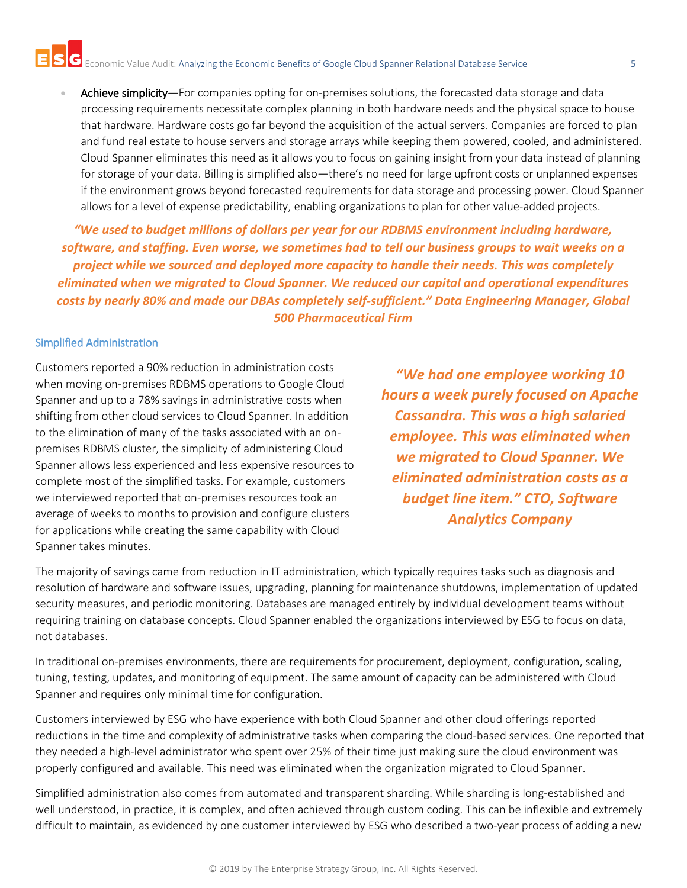Achieve simplicity—For companies opting for on-premises solutions, the forecasted data storage and data processing requirements necessitate complex planning in both hardware needs and the physical space to house that hardware. Hardware costs go far beyond the acquisition of the actual servers. Companies are forced to plan and fund real estate to house servers and storage arrays while keeping them powered, cooled, and administered. Cloud Spanner eliminates this need as it allows you to focus on gaining insight from your data instead of planning for storage of your data. Billing is simplified also—there's no need for large upfront costs or unplanned expenses if the environment grows beyond forecasted requirements for data storage and processing power. Cloud Spanner allows for a level of expense predictability, enabling organizations to plan for other value-added projects.

*"We used to budget millions of dollars per year for our RDBMS environment including hardware, software, and staffing. Even worse, we sometimes had to tell our business groups to wait weeks on a project while we sourced and deployed more capacity to handle their needs. This was completely eliminated when we migrated to Cloud Spanner. We reduced our capital and operational expenditures costs by nearly 80% and made our DBAs completely self-sufficient." Data Engineering Manager, Global 500 Pharmaceutical Firm*

#### Simplified Administration

Customers reported a 90% reduction in administration costs when moving on-premises RDBMS operations to Google Cloud Spanner and up to a 78% savings in administrative costs when shifting from other cloud services to Cloud Spanner. In addition to the elimination of many of the tasks associated with an onpremises RDBMS cluster, the simplicity of administering Cloud Spanner allows less experienced and less expensive resources to complete most of the simplified tasks. For example, customers we interviewed reported that on-premises resources took an average of weeks to months to provision and configure clusters for applications while creating the same capability with Cloud Spanner takes minutes.

*"We had one employee working 10 hours a week purely focused on Apache Cassandra. This was a high salaried employee. This was eliminated when we migrated to Cloud Spanner. We eliminated administration costs as a budget line item." CTO, Software Analytics Company*

The majority of savings came from reduction in IT administration, which typically requires tasks such as diagnosis and resolution of hardware and software issues, upgrading, planning for maintenance shutdowns, implementation of updated security measures, and periodic monitoring. Databases are managed entirely by individual development teams without requiring training on database concepts. Cloud Spanner enabled the organizations interviewed by ESG to focus on data, not databases.

In traditional on-premises environments, there are requirements for procurement, deployment, configuration, scaling, tuning, testing, updates, and monitoring of equipment. The same amount of capacity can be administered with Cloud Spanner and requires only minimal time for configuration.

Customers interviewed by ESG who have experience with both Cloud Spanner and other cloud offerings reported reductions in the time and complexity of administrative tasks when comparing the cloud-based services. One reported that they needed a high-level administrator who spent over 25% of their time just making sure the cloud environment was properly configured and available. This need was eliminated when the organization migrated to Cloud Spanner.

Simplified administration also comes from automated and transparent sharding. While sharding is long-established and well understood, in practice, it is complex, and often achieved through custom coding. This can be inflexible and extremely difficult to maintain, as evidenced by one customer interviewed by ESG who described a two-year process of adding a new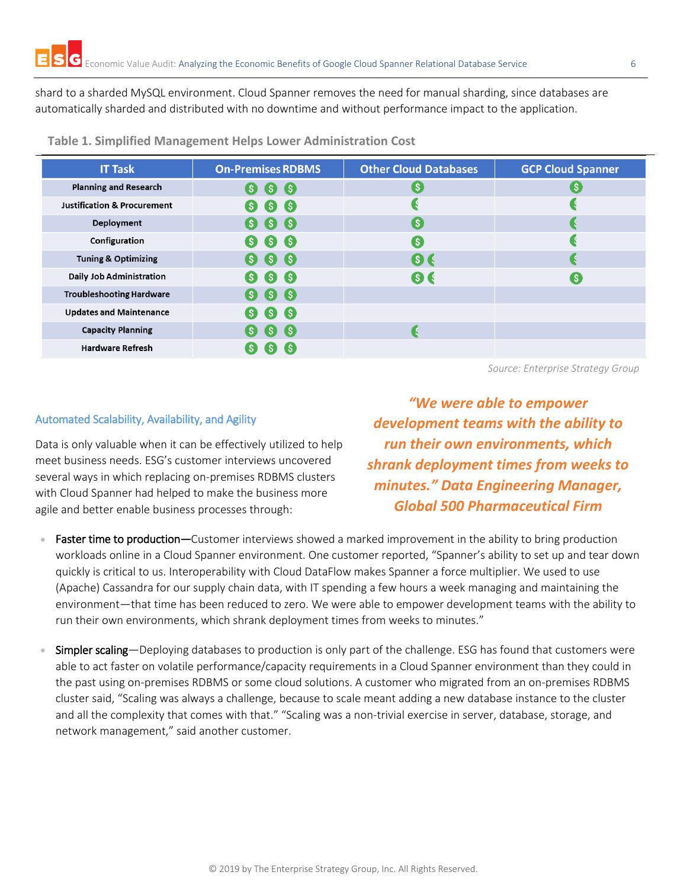shard to a sharded MySQL environment. Cloud Spanner removes the need for manual sharding, since databases are automatically sharded and distributed with no downtime and without performance impact to the application.

| <b>IT Task</b>                         | <b>On-Premises RDBMS</b>   | <b>Other Cloud Databases</b> | <b>GCP Cloud Spanner</b> |
|----------------------------------------|----------------------------|------------------------------|--------------------------|
| <b>Planning and Research</b>           | S<br>S)                    | <b>S</b>                     |                          |
| <b>Justification &amp; Procurement</b> | <b>S</b> S<br>(S)          |                              |                          |
| Deployment                             | 6 6 6                      | <b>S</b>                     |                          |
| Configuration                          | 66<br>(S)                  | S                            |                          |
| <b>Tuning &amp; Optimizing</b>         | S(S)                       | $\bullet$                    |                          |
| <b>Daily Job Administration</b>        | 666                        | 6 C                          | ( S                      |
| <b>Troubleshooting Hardware</b>        | $S$ $S$<br>S)              |                              |                          |
| <b>Updates and Maintenance</b>         | $\bullet$ $\bullet$<br>(S) |                              |                          |
| <b>Capacity Planning</b>               | (S) (S) (S)                |                              |                          |
| <b>Hardware Refresh</b>                |                            |                              |                          |

**Table 1. Simplified Management Helps Lower Administration Cost**

*Source: Enterprise Strategy Group*

#### Automated Scalability, Availability, and Agility

Data is only valuable when it can be effectively utilized to help meet business needs. ESG's customer interviews uncovered several ways in which replacing on-premises RDBMS clusters with Cloud Spanner had helped to make the business more agile and better enable business processes through:

*"We were able to empower development teams with the ability to run their own environments, which shrank deployment times from weeks to minutes." Data Engineering Manager, Global 500 Pharmaceutical Firm*

- Faster time to production—Customer interviews showed a marked improvement in the ability to bring production workloads online in a Cloud Spanner environment. One customer reported, "Spanner's ability to set up and tear down quickly is critical to us. Interoperability with Cloud DataFlow makes Spanner a force multiplier. We used to use (Apache) Cassandra for our supply chain data, with IT spending a few hours a week managing and maintaining the environment—that time has been reduced to zero. We were able to empower development teams with the ability to run their own environments, which shrank deployment times from weeks to minutes."
- Simpler scaling—Deploying databases to production is only part of the challenge. ESG has found that customers were able to act faster on volatile performance/capacity requirements in a Cloud Spanner environment than they could in the past using on-premises RDBMS or some cloud solutions. A customer who migrated from an on-premises RDBMS cluster said, "Scaling was always a challenge, because to scale meant adding a new database instance to the cluster and all the complexity that comes with that." "Scaling was a non-trivial exercise in server, database, storage, and network management," said another customer.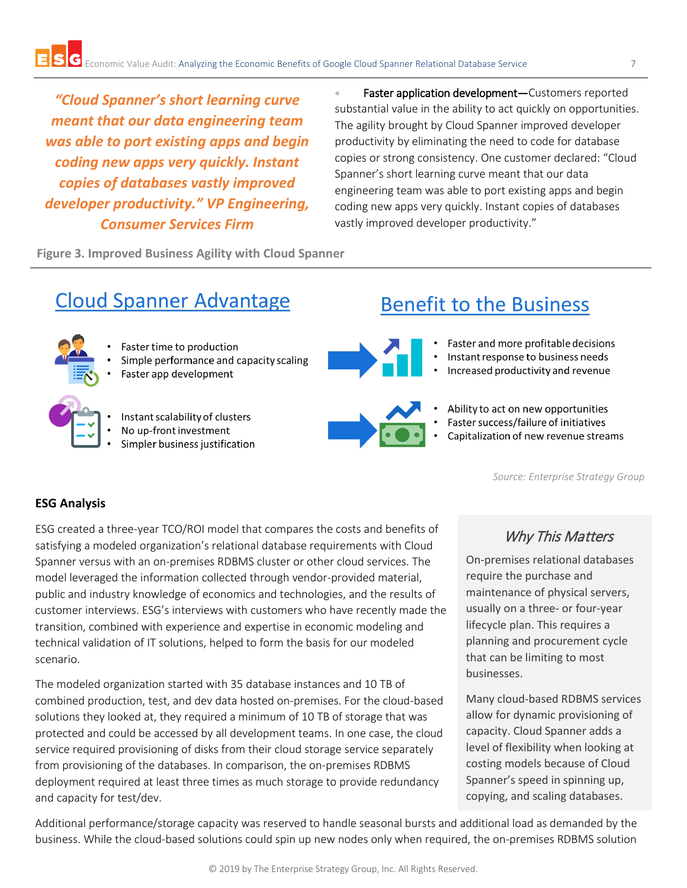*"Cloud Spanner's short learning curve meant that our data engineering team was able to port existing apps and begin coding new apps very quickly. Instant copies of databases vastly improved developer productivity." VP Engineering, Consumer Services Firm*

Faster application development-Customers reported substantial value in the ability to act quickly on opportunities. The agility brought by Cloud Spanner improved developer productivity by eliminating the need to code for database copies or strong consistency. One customer declared: "Cloud Spanner's short learning curve meant that our data engineering team was able to port existing apps and begin coding new apps very quickly. Instant copies of databases vastly improved developer productivity."

**Figure 3. Improved Business Agility with Cloud Spanner**

# **Cloud Spanner Advantage**

- Faster time to production
	- Simple performance and capacity scaling Faster app development
		-
		- Instant scalability of clusters
		- No up-front investment
		- Simpler business justification

# **Benefit to the Business**

- Faster and more profitable decisions
- Instant response to business needs
- Increased productivity and revenue
- 
- Ability to act on new opportunities
- Faster success/failure of initiatives
- Capitalization of new revenue streams

*Source: Enterprise Strategy Group*

#### **ESG Analysis**

ESG created a three-year TCO/ROI model that compares the costs and benefits of satisfying a modeled organization's relational database requirements with Cloud Spanner versus with an on-premises RDBMS cluster or other cloud services. The model leveraged the information collected through vendor-provided material, public and industry knowledge of economics and technologies, and the results of customer interviews. ESG's interviews with customers who have recently made the transition, combined with experience and expertise in economic modeling and technical validation of IT solutions, helped to form the basis for our modeled scenario.

The modeled organization started with 35 database instances and 10 TB of combined production, test, and dev data hosted on-premises. For the cloud-based solutions they looked at, they required a minimum of 10 TB of storage that was protected and could be accessed by all development teams. In one case, the cloud service required provisioning of disks from their cloud storage service separately from provisioning of the databases. In comparison, the on-premises RDBMS deployment required at least three times as much storage to provide redundancy and capacity for test/dev.

# Why This Matters

On-premises relational databases require the purchase and maintenance of physical servers, usually on a three- or four-year lifecycle plan. This requires a planning and procurement cycle that can be limiting to most businesses.

Many cloud-based RDBMS services allow for dynamic provisioning of capacity. Cloud Spanner adds a level of flexibility when looking at costing models because of Cloud Spanner's speed in spinning up, copying, and scaling databases.

Additional performance/storage capacity was reserved to handle seasonal bursts and additional load as demanded by the business. While the cloud-based solutions could spin up new nodes only when required, the on-premises RDBMS solution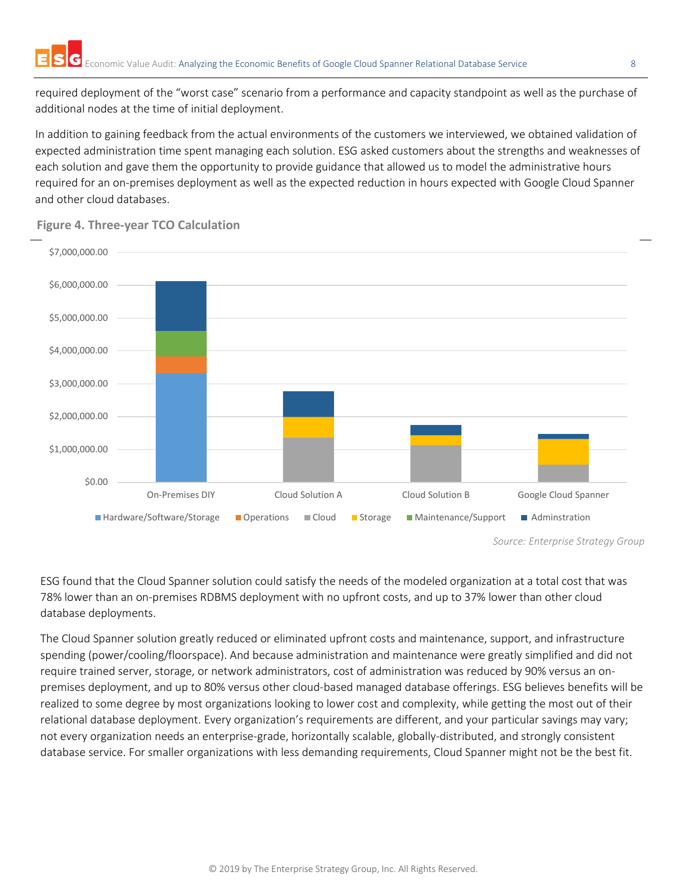required deployment of the "worst case" scenario from a performance and capacity standpoint as well as the purchase of additional nodes at the time of initial deployment.

In addition to gaining feedback from the actual environments of the customers we interviewed, we obtained validation of expected administration time spent managing each solution. ESG asked customers about the strengths and weaknesses of each solution and gave them the opportunity to provide guidance that allowed us to model the administrative hours required for an on-premises deployment as well as the expected reduction in hours expected with Google Cloud Spanner and other cloud databases.



#### **Figure 4. Three-year TCO Calculation**

ESG found that the Cloud Spanner solution could satisfy the needs of the modeled organization at a total cost that was 78% lower than an on-premises RDBMS deployment with no upfront costs, and up to 37% lower than other cloud database deployments.

The Cloud Spanner solution greatly reduced or eliminated upfront costs and maintenance, support, and infrastructure spending (power/cooling/floorspace). And because administration and maintenance were greatly simplified and did not require trained server, storage, or network administrators, cost of administration was reduced by 90% versus an onpremises deployment, and up to 80% versus other cloud-based managed database offerings. ESG believes benefits will be realized to some degree by most organizations looking to lower cost and complexity, while getting the most out of their relational database deployment. Every organization's requirements are different, and your particular savings may vary; not every organization needs an enterprise-grade, horizontally scalable, globally-distributed, and strongly consistent database service. For smaller organizations with less demanding requirements, Cloud Spanner might not be the best fit.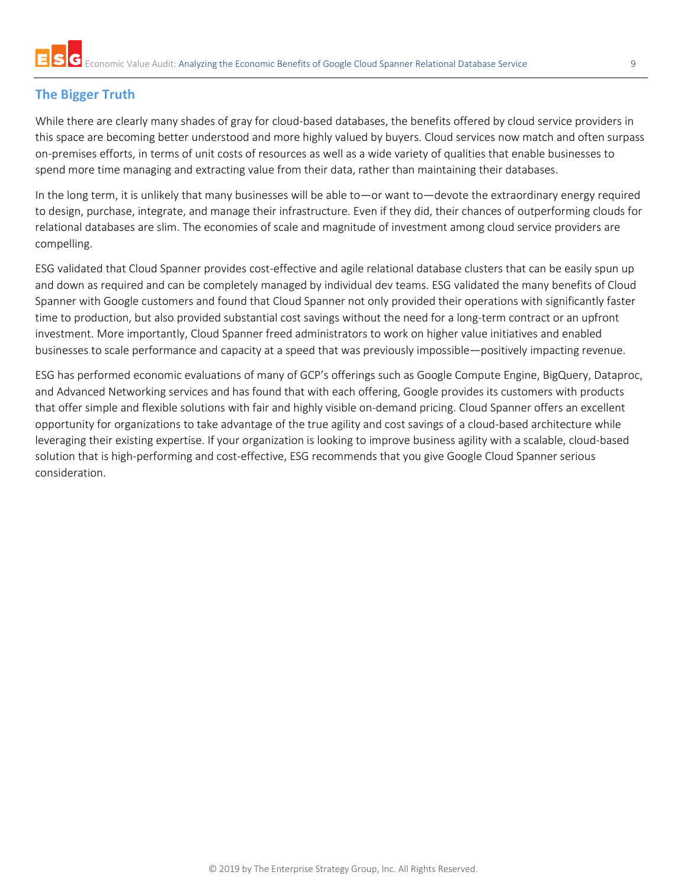# **The Bigger Truth**

While there are clearly many shades of gray for cloud-based databases, the benefits offered by cloud service providers in this space are becoming better understood and more highly valued by buyers. Cloud services now match and often surpass on-premises efforts, in terms of unit costs of resources as well as a wide variety of qualities that enable businesses to spend more time managing and extracting value from their data, rather than maintaining their databases.

In the long term, it is unlikely that many businesses will be able to—or want to—devote the extraordinary energy required to design, purchase, integrate, and manage their infrastructure. Even if they did, their chances of outperforming clouds for relational databases are slim. The economies of scale and magnitude of investment among cloud service providers are compelling.

ESG validated that Cloud Spanner provides cost-effective and agile relational database clusters that can be easily spun up and down as required and can be completely managed by individual dev teams. ESG validated the many benefits of Cloud Spanner with Google customers and found that Cloud Spanner not only provided their operations with significantly faster time to production, but also provided substantial cost savings without the need for a long-term contract or an upfront investment. More importantly, Cloud Spanner freed administrators to work on higher value initiatives and enabled businesses to scale performance and capacity at a speed that was previously impossible—positively impacting revenue.

ESG has performed economic evaluations of many of GCP's offerings such as Google Compute Engine, BigQuery, Dataproc, and Advanced Networking services and has found that with each offering, Google provides its customers with products that offer simple and flexible solutions with fair and highly visible on-demand pricing. Cloud Spanner offers an excellent opportunity for organizations to take advantage of the true agility and cost savings of a cloud-based architecture while leveraging their existing expertise. If your organization is looking to improve business agility with a scalable, cloud-based solution that is high-performing and cost-effective, ESG recommends that you give Google Cloud Spanner serious consideration.